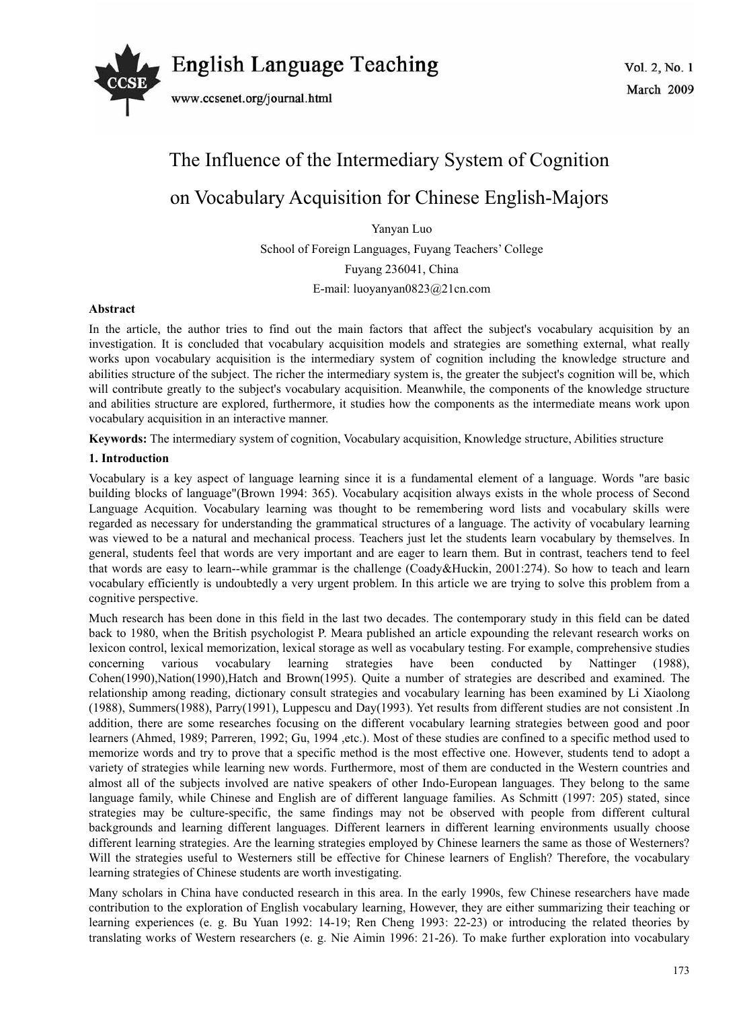

# The Influence of the Intermediary System of Cognition on Vocabulary Acquisition for Chinese English-Majors

Yanyan Luo

School of Foreign Languages, Fuyang Teachers' College Fuyang 236041, China E-mail: luoyanyan0823@21cn.com

## **Abstract**

In the article, the author tries to find out the main factors that affect the subject's vocabulary acquisition by an investigation. It is concluded that vocabulary acquisition models and strategies are something external, what really works upon vocabulary acquisition is the intermediary system of cognition including the knowledge structure and abilities structure of the subject. The richer the intermediary system is, the greater the subject's cognition will be, which will contribute greatly to the subject's vocabulary acquisition. Meanwhile, the components of the knowledge structure and abilities structure are explored, furthermore, it studies how the components as the intermediate means work upon vocabulary acquisition in an interactive manner.

**Keywords:** The intermediary system of cognition, Vocabulary acquisition, Knowledge structure, Abilities structure

## **1. Introduction**

Vocabulary is a key aspect of language learning since it is a fundamental element of a language. Words "are basic building blocks of language"(Brown 1994: 365). Vocabulary acqisition always exists in the whole process of Second Language Acquition. Vocabulary learning was thought to be remembering word lists and vocabulary skills were regarded as necessary for understanding the grammatical structures of a language. The activity of vocabulary learning was viewed to be a natural and mechanical process. Teachers just let the students learn vocabulary by themselves. In general, students feel that words are very important and are eager to learn them. But in contrast, teachers tend to feel that words are easy to learn--while grammar is the challenge (Coady&Huckin, 2001:274). So how to teach and learn vocabulary efficiently is undoubtedly a very urgent problem. In this article we are trying to solve this problem from a cognitive perspective.

Much research has been done in this field in the last two decades. The contemporary study in this field can be dated back to 1980, when the British psychologist P. Meara published an article expounding the relevant research works on lexicon control, lexical memorization, lexical storage as well as vocabulary testing. For example, comprehensive studies concerning various vocabulary learning strategies have been conducted by Nattinger (1988), Cohen(1990),Nation(1990),Hatch and Brown(1995). Quite a number of strategies are described and examined. The relationship among reading, dictionary consult strategies and vocabulary learning has been examined by Li Xiaolong (1988), Summers(1988), Parry(1991), Luppescu and Day(1993). Yet results from different studies are not consistent .In addition, there are some researches focusing on the different vocabulary learning strategies between good and poor learners (Ahmed, 1989; Parreren, 1992; Gu, 1994 ,etc.). Most of these studies are confined to a specific method used to memorize words and try to prove that a specific method is the most effective one. However, students tend to adopt a variety of strategies while learning new words. Furthermore, most of them are conducted in the Western countries and almost all of the subjects involved are native speakers of other Indo-European languages. They belong to the same language family, while Chinese and English are of different language families. As Schmitt (1997: 205) stated, since strategies may be culture-specific, the same findings may not be observed with people from different cultural backgrounds and learning different languages. Different learners in different learning environments usually choose different learning strategies. Are the learning strategies employed by Chinese learners the same as those of Westerners? Will the strategies useful to Westerners still be effective for Chinese learners of English? Therefore, the vocabulary learning strategies of Chinese students are worth investigating.

Many scholars in China have conducted research in this area. In the early 1990s, few Chinese researchers have made contribution to the exploration of English vocabulary learning, However, they are either summarizing their teaching or learning experiences (e. g. Bu Yuan 1992: 14-19; Ren Cheng 1993: 22-23) or introducing the related theories by translating works of Western researchers (e. g. Nie Aimin 1996: 21-26). To make further exploration into vocabulary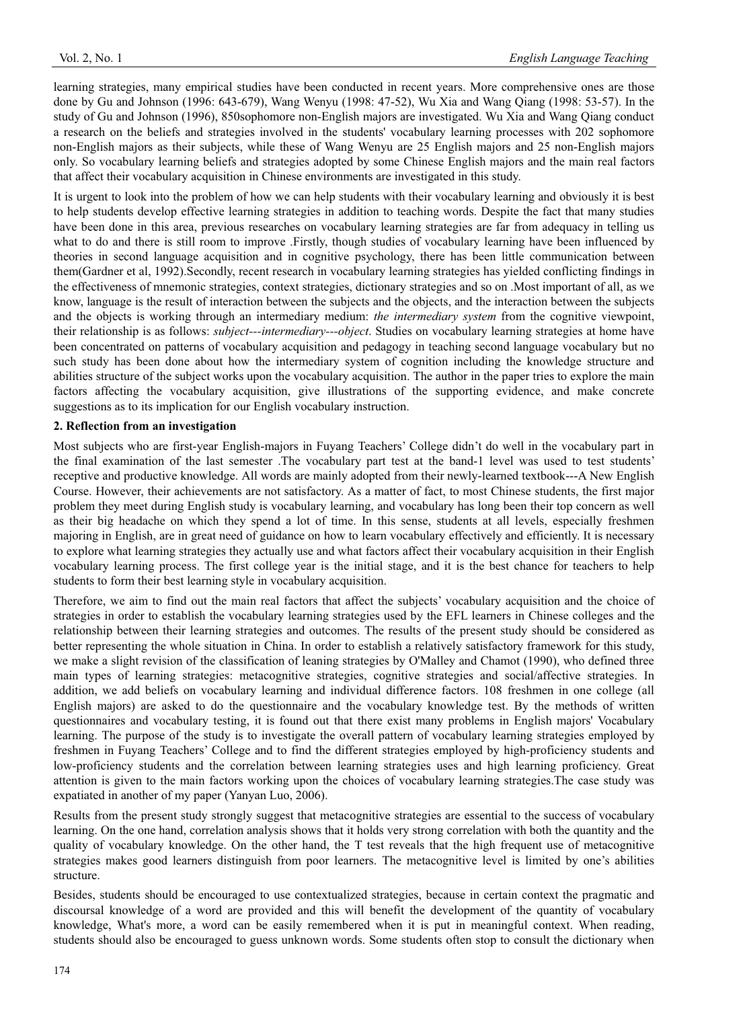learning strategies, many empirical studies have been conducted in recent years. More comprehensive ones are those done by Gu and Johnson (1996: 643-679), Wang Wenyu (1998: 47-52), Wu Xia and Wang Qiang (1998: 53-57). In the study of Gu and Johnson (1996), 850sophomore non-English majors are investigated. Wu Xia and Wang Qiang conduct a research on the beliefs and strategies involved in the students' vocabulary learning processes with 202 sophomore non-English majors as their subjects, while these of Wang Wenyu are 25 English majors and 25 non-English majors only. So vocabulary learning beliefs and strategies adopted by some Chinese English majors and the main real factors that affect their vocabulary acquisition in Chinese environments are investigated in this study.

It is urgent to look into the problem of how we can help students with their vocabulary learning and obviously it is best to help students develop effective learning strategies in addition to teaching words. Despite the fact that many studies have been done in this area, previous researches on vocabulary learning strategies are far from adequacy in telling us what to do and there is still room to improve .Firstly, though studies of vocabulary learning have been influenced by theories in second language acquisition and in cognitive psychology, there has been little communication between them(Gardner et al, 1992).Secondly, recent research in vocabulary learning strategies has yielded conflicting findings in the effectiveness of mnemonic strategies, context strategies, dictionary strategies and so on .Most important of all, as we know, language is the result of interaction between the subjects and the objects, and the interaction between the subjects and the objects is working through an intermediary medium: *the intermediary system* from the cognitive viewpoint, their relationship is as follows: *subject---intermediary---object*. Studies on vocabulary learning strategies at home have been concentrated on patterns of vocabulary acquisition and pedagogy in teaching second language vocabulary but no such study has been done about how the intermediary system of cognition including the knowledge structure and abilities structure of the subject works upon the vocabulary acquisition. The author in the paper tries to explore the main factors affecting the vocabulary acquisition, give illustrations of the supporting evidence, and make concrete suggestions as to its implication for our English vocabulary instruction.

## **2. Reflection from an investigation**

Most subjects who are first-year English-majors in Fuyang Teachers' College didn't do well in the vocabulary part in the final examination of the last semester .The vocabulary part test at the band-1 level was used to test students' receptive and productive knowledge. All words are mainly adopted from their newly-learned textbook---A New English Course. However, their achievements are not satisfactory. As a matter of fact, to most Chinese students, the first major problem they meet during English study is vocabulary learning, and vocabulary has long been their top concern as well as their big headache on which they spend a lot of time. In this sense, students at all levels, especially freshmen majoring in English, are in great need of guidance on how to learn vocabulary effectively and efficiently. It is necessary to explore what learning strategies they actually use and what factors affect their vocabulary acquisition in their English vocabulary learning process. The first college year is the initial stage, and it is the best chance for teachers to help students to form their best learning style in vocabulary acquisition.

Therefore, we aim to find out the main real factors that affect the subjects' vocabulary acquisition and the choice of strategies in order to establish the vocabulary learning strategies used by the EFL learners in Chinese colleges and the relationship between their learning strategies and outcomes. The results of the present study should be considered as better representing the whole situation in China. In order to establish a relatively satisfactory framework for this study, we make a slight revision of the classification of leaning strategies by O'Malley and Chamot (1990), who defined three main types of learning strategies: metacognitive strategies, cognitive strategies and social/affective strategies. In addition, we add beliefs on vocabulary learning and individual difference factors. 108 freshmen in one college (all English majors) are asked to do the questionnaire and the vocabulary knowledge test. By the methods of written questionnaires and vocabulary testing, it is found out that there exist many problems in English majors' Vocabulary learning. The purpose of the study is to investigate the overall pattern of vocabulary learning strategies employed by freshmen in Fuyang Teachers' College and to find the different strategies employed by high-proficiency students and low-proficiency students and the correlation between learning strategies uses and high learning proficiency. Great attention is given to the main factors working upon the choices of vocabulary learning strategies.The case study was expatiated in another of my paper (Yanyan Luo, 2006).

Results from the present study strongly suggest that metacognitive strategies are essential to the success of vocabulary learning. On the one hand, correlation analysis shows that it holds very strong correlation with both the quantity and the quality of vocabulary knowledge. On the other hand, the T test reveals that the high frequent use of metacognitive strategies makes good learners distinguish from poor learners. The metacognitive level is limited by one's abilities structure.

Besides, students should be encouraged to use contextualized strategies, because in certain context the pragmatic and discoursal knowledge of a word are provided and this will benefit the development of the quantity of vocabulary knowledge, What's more, a word can be easily remembered when it is put in meaningful context. When reading, students should also be encouraged to guess unknown words. Some students often stop to consult the dictionary when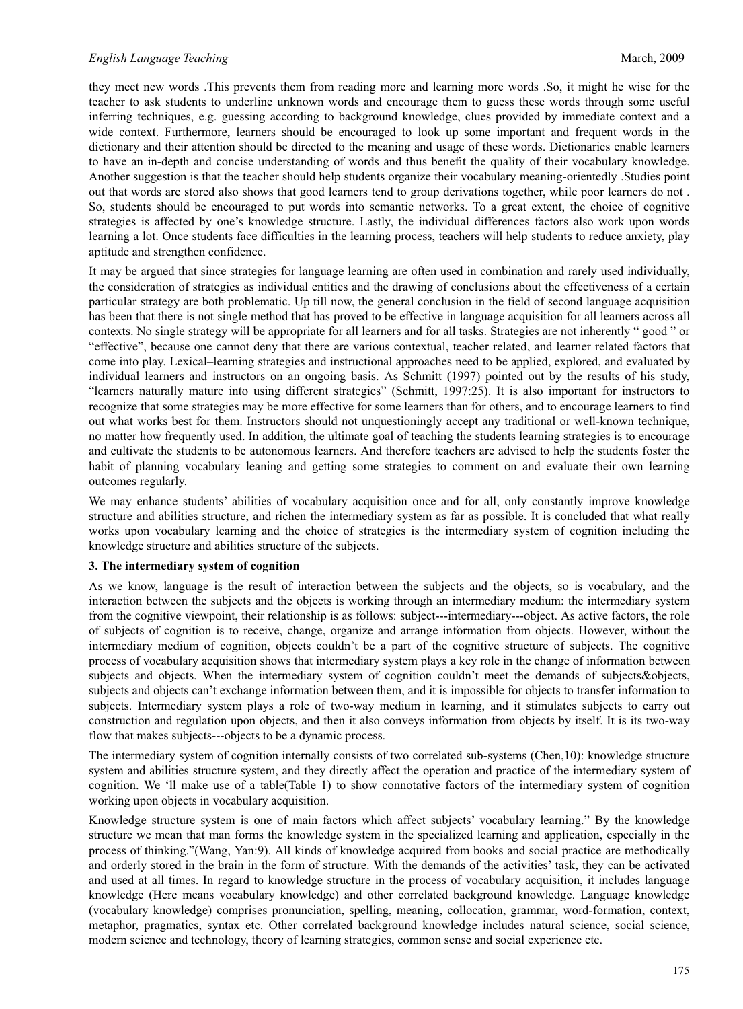they meet new words .This prevents them from reading more and learning more words .So, it might he wise for the teacher to ask students to underline unknown words and encourage them to guess these words through some useful inferring techniques, e.g. guessing according to background knowledge, clues provided by immediate context and a wide context. Furthermore, learners should be encouraged to look up some important and frequent words in the dictionary and their attention should be directed to the meaning and usage of these words. Dictionaries enable learners to have an in-depth and concise understanding of words and thus benefit the quality of their vocabulary knowledge. Another suggestion is that the teacher should help students organize their vocabulary meaning-orientedly .Studies point out that words are stored also shows that good learners tend to group derivations together, while poor learners do not . So, students should be encouraged to put words into semantic networks. To a great extent, the choice of cognitive strategies is affected by one's knowledge structure. Lastly, the individual differences factors also work upon words learning a lot. Once students face difficulties in the learning process, teachers will help students to reduce anxiety, play aptitude and strengthen confidence.

It may be argued that since strategies for language learning are often used in combination and rarely used individually, the consideration of strategies as individual entities and the drawing of conclusions about the effectiveness of a certain particular strategy are both problematic. Up till now, the general conclusion in the field of second language acquisition has been that there is not single method that has proved to be effective in language acquisition for all learners across all contexts. No single strategy will be appropriate for all learners and for all tasks. Strategies are not inherently " good " or "effective", because one cannot deny that there are various contextual, teacher related, and learner related factors that come into play. Lexical–learning strategies and instructional approaches need to be applied, explored, and evaluated by individual learners and instructors on an ongoing basis. As Schmitt (1997) pointed out by the results of his study, "learners naturally mature into using different strategies" (Schmitt, 1997:25). It is also important for instructors to recognize that some strategies may be more effective for some learners than for others, and to encourage learners to find out what works best for them. Instructors should not unquestioningly accept any traditional or well-known technique, no matter how frequently used. In addition, the ultimate goal of teaching the students learning strategies is to encourage and cultivate the students to be autonomous learners. And therefore teachers are advised to help the students foster the habit of planning vocabulary leaning and getting some strategies to comment on and evaluate their own learning outcomes regularly.

We may enhance students' abilities of vocabulary acquisition once and for all, only constantly improve knowledge structure and abilities structure, and richen the intermediary system as far as possible. It is concluded that what really works upon vocabulary learning and the choice of strategies is the intermediary system of cognition including the knowledge structure and abilities structure of the subjects.

#### **3. The intermediary system of cognition**

As we know, language is the result of interaction between the subjects and the objects, so is vocabulary, and the interaction between the subjects and the objects is working through an intermediary medium: the intermediary system from the cognitive viewpoint, their relationship is as follows: subject---intermediary---object. As active factors, the role of subjects of cognition is to receive, change, organize and arrange information from objects. However, without the intermediary medium of cognition, objects couldn't be a part of the cognitive structure of subjects. The cognitive process of vocabulary acquisition shows that intermediary system plays a key role in the change of information between subjects and objects. When the intermediary system of cognition couldn't meet the demands of subjects&objects, subjects and objects can't exchange information between them, and it is impossible for objects to transfer information to subjects. Intermediary system plays a role of two-way medium in learning, and it stimulates subjects to carry out construction and regulation upon objects, and then it also conveys information from objects by itself. It is its two-way flow that makes subjects---objects to be a dynamic process.

The intermediary system of cognition internally consists of two correlated sub-systems (Chen,10): knowledge structure system and abilities structure system, and they directly affect the operation and practice of the intermediary system of cognition. We 'll make use of a table(Table 1) to show connotative factors of the intermediary system of cognition working upon objects in vocabulary acquisition.

Knowledge structure system is one of main factors which affect subjects' vocabulary learning." By the knowledge structure we mean that man forms the knowledge system in the specialized learning and application, especially in the process of thinking."(Wang, Yan:9). All kinds of knowledge acquired from books and social practice are methodically and orderly stored in the brain in the form of structure. With the demands of the activities' task, they can be activated and used at all times. In regard to knowledge structure in the process of vocabulary acquisition, it includes language knowledge (Here means vocabulary knowledge) and other correlated background knowledge. Language knowledge (vocabulary knowledge) comprises pronunciation, spelling, meaning, collocation, grammar, word-formation, context, metaphor, pragmatics, syntax etc. Other correlated background knowledge includes natural science, social science, modern science and technology, theory of learning strategies, common sense and social experience etc.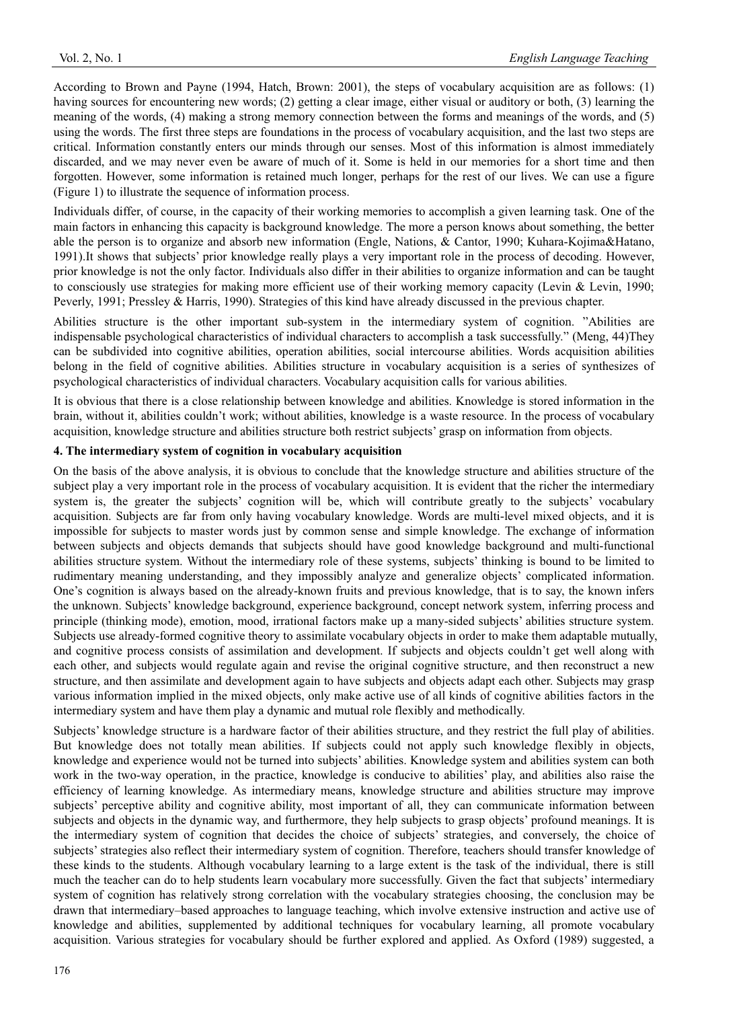According to Brown and Payne (1994, Hatch, Brown: 2001), the steps of vocabulary acquisition are as follows: (1) having sources for encountering new words; (2) getting a clear image, either visual or auditory or both, (3) learning the meaning of the words, (4) making a strong memory connection between the forms and meanings of the words, and (5) using the words. The first three steps are foundations in the process of vocabulary acquisition, and the last two steps are critical. Information constantly enters our minds through our senses. Most of this information is almost immediately discarded, and we may never even be aware of much of it. Some is held in our memories for a short time and then forgotten. However, some information is retained much longer, perhaps for the rest of our lives. We can use a figure (Figure 1) to illustrate the sequence of information process.

Individuals differ, of course, in the capacity of their working memories to accomplish a given learning task. One of the main factors in enhancing this capacity is background knowledge. The more a person knows about something, the better able the person is to organize and absorb new information (Engle, Nations, & Cantor, 1990; Kuhara-Kojima&Hatano, 1991).It shows that subjects' prior knowledge really plays a very important role in the process of decoding. However, prior knowledge is not the only factor. Individuals also differ in their abilities to organize information and can be taught to consciously use strategies for making more efficient use of their working memory capacity (Levin & Levin, 1990; Peverly, 1991; Pressley & Harris, 1990). Strategies of this kind have already discussed in the previous chapter.

Abilities structure is the other important sub-system in the intermediary system of cognition. "Abilities are indispensable psychological characteristics of individual characters to accomplish a task successfully." (Meng, 44)They can be subdivided into cognitive abilities, operation abilities, social intercourse abilities. Words acquisition abilities belong in the field of cognitive abilities. Abilities structure in vocabulary acquisition is a series of synthesizes of psychological characteristics of individual characters. Vocabulary acquisition calls for various abilities.

It is obvious that there is a close relationship between knowledge and abilities. Knowledge is stored information in the brain, without it, abilities couldn't work; without abilities, knowledge is a waste resource. In the process of vocabulary acquisition, knowledge structure and abilities structure both restrict subjects' grasp on information from objects.

#### **4. The intermediary system of cognition in vocabulary acquisition**

On the basis of the above analysis, it is obvious to conclude that the knowledge structure and abilities structure of the subject play a very important role in the process of vocabulary acquisition. It is evident that the richer the intermediary system is, the greater the subjects' cognition will be, which will contribute greatly to the subjects' vocabulary acquisition. Subjects are far from only having vocabulary knowledge. Words are multi-level mixed objects, and it is impossible for subjects to master words just by common sense and simple knowledge. The exchange of information between subjects and objects demands that subjects should have good knowledge background and multi-functional abilities structure system. Without the intermediary role of these systems, subjects' thinking is bound to be limited to rudimentary meaning understanding, and they impossibly analyze and generalize objects' complicated information. One's cognition is always based on the already-known fruits and previous knowledge, that is to say, the known infers the unknown. Subjects' knowledge background, experience background, concept network system, inferring process and principle (thinking mode), emotion, mood, irrational factors make up a many-sided subjects' abilities structure system. Subjects use already-formed cognitive theory to assimilate vocabulary objects in order to make them adaptable mutually, and cognitive process consists of assimilation and development. If subjects and objects couldn't get well along with each other, and subjects would regulate again and revise the original cognitive structure, and then reconstruct a new structure, and then assimilate and development again to have subjects and objects adapt each other. Subjects may grasp various information implied in the mixed objects, only make active use of all kinds of cognitive abilities factors in the intermediary system and have them play a dynamic and mutual role flexibly and methodically.

Subjects' knowledge structure is a hardware factor of their abilities structure, and they restrict the full play of abilities. But knowledge does not totally mean abilities. If subjects could not apply such knowledge flexibly in objects, knowledge and experience would not be turned into subjects' abilities. Knowledge system and abilities system can both work in the two-way operation, in the practice, knowledge is conducive to abilities' play, and abilities also raise the efficiency of learning knowledge. As intermediary means, knowledge structure and abilities structure may improve subjects' perceptive ability and cognitive ability, most important of all, they can communicate information between subjects and objects in the dynamic way, and furthermore, they help subjects to grasp objects' profound meanings. It is the intermediary system of cognition that decides the choice of subjects' strategies, and conversely, the choice of subjects' strategies also reflect their intermediary system of cognition. Therefore, teachers should transfer knowledge of these kinds to the students. Although vocabulary learning to a large extent is the task of the individual, there is still much the teacher can do to help students learn vocabulary more successfully. Given the fact that subjects' intermediary system of cognition has relatively strong correlation with the vocabulary strategies choosing, the conclusion may be drawn that intermediary–based approaches to language teaching, which involve extensive instruction and active use of knowledge and abilities, supplemented by additional techniques for vocabulary learning, all promote vocabulary acquisition. Various strategies for vocabulary should be further explored and applied. As Oxford (1989) suggested, a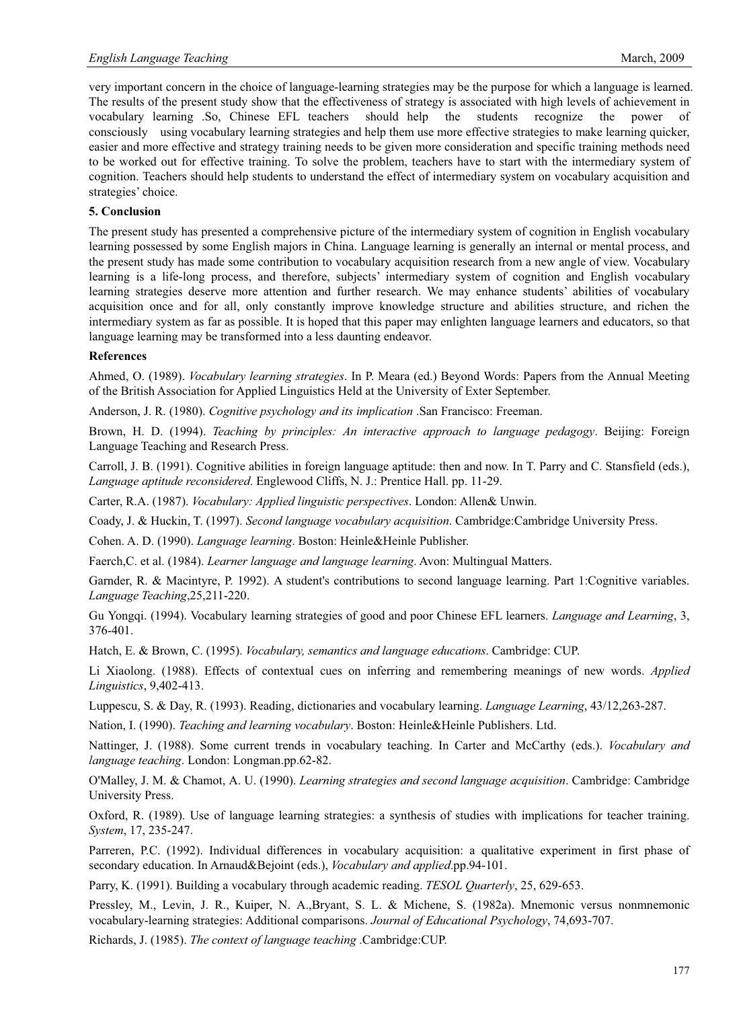very important concern in the choice of language-learning strategies may be the purpose for which a language is learned. The results of the present study show that the effectiveness of strategy is associated with high levels of achievement in vocabulary learning .So, Chinese EFL teachers should help the students recognize the power of consciously using vocabulary learning strategies and help them use more effective strategies to make learning quicker, easier and more effective and strategy training needs to be given more consideration and specific training methods need to be worked out for effective training. To solve the problem, teachers have to start with the intermediary system of cognition. Teachers should help students to understand the effect of intermediary system on vocabulary acquisition and strategies' choice.

# **5. Conclusion**

The present study has presented a comprehensive picture of the intermediary system of cognition in English vocabulary learning possessed by some English majors in China. Language learning is generally an internal or mental process, and the present study has made some contribution to vocabulary acquisition research from a new angle of view. Vocabulary learning is a life-long process, and therefore, subjects' intermediary system of cognition and English vocabulary learning strategies deserve more attention and further research. We may enhance students' abilities of vocabulary acquisition once and for all, only constantly improve knowledge structure and abilities structure, and richen the intermediary system as far as possible. It is hoped that this paper may enlighten language learners and educators, so that language learning may be transformed into a less daunting endeavor.

## **References**

Ahmed, O. (1989). *Vocabulary learning strategies*. In P. Meara (ed.) Beyond Words: Papers from the Annual Meeting of the British Association for Applied Linguistics Held at the University of Exter September.

Anderson, J. R. (1980). *Cognitive psychology and its implication* .San Francisco: Freeman.

Brown, H. D. (1994). *Teaching by principles: An interactive approach to language pedagogy*. Beijing: Foreign Language Teaching and Research Press.

Carroll, J. B. (1991). Cognitive abilities in foreign language aptitude: then and now. In T. Parry and C. Stansfield (eds.), *Language aptitude reconsidered*. Englewood Cliffs, N. J.: Prentice Hall. pp. 11-29.

Carter, R.A. (1987). *Vocabulary: Applied linguistic perspectives*. London: Allen& Unwin.

Coady, J. & Huckin, T. (1997). *Second language vocabulary acquisition*. Cambridge:Cambridge University Press.

Cohen. A. D. (1990). *Language learning*. Boston: Heinle&Heinle Publisher.

Faerch,C. et al. (1984). *Learner language and language learning*. Avon: Multingual Matters.

Garnder, R. & Macintyre, P. 1992). A student's contributions to second language learning. Part 1:Cognitive variables. *Language Teaching*,25,211-220.

Gu Yongqi. (1994). Vocabulary learning strategies of good and poor Chinese EFL learners. *Language and Learning*, 3, 376-401.

Hatch, E. & Brown, C. (1995). *Vocabulary, semantics and language educations*. Cambridge: CUP.

Li Xiaolong. (1988). Effects of contextual cues on inferring and remembering meanings of new words. *Applied Linguistics*, 9,402-413.

Luppescu, S. & Day, R. (1993). Reading, dictionaries and vocabulary learning. *Language Learning*, 43/12,263-287.

Nation, I. (1990). *Teaching and learning vocabulary*. Boston: Heinle&Heinle Publishers. Ltd.

Nattinger, J. (1988). Some current trends in vocabulary teaching. In Carter and McCarthy (eds.). *Vocabulary and language teaching*. London: Longman.pp.62-82.

O'Malley, J. M. & Chamot, A. U. (1990). *Learning strategies and second language acquisition*. Cambridge: Cambridge University Press.

Oxford, R. (1989). Use of language learning strategies: a synthesis of studies with implications for teacher training. *System*, 17, 235-247.

Parreren, P.C. (1992). Individual differences in vocabulary acquisition: a qualitative experiment in first phase of secondary education. In Arnaud&Bejoint (eds.), *Vocabulary and applied*.pp.94-101.

Parry, K. (1991). Building a vocabulary through academic reading. *TESOL Quarterly*, 25, 629-653.

Pressley, M., Levin, J. R., Kuiper, N. A.,Bryant, S. L. & Michene, S. (1982a). Mnemonic versus nonmnemonic vocabulary-learning strategies: Additional comparisons. *Journal of Educational Psychology*, 74,693-707.

Richards, J. (1985). *The context of language teaching* .Cambridge:CUP.